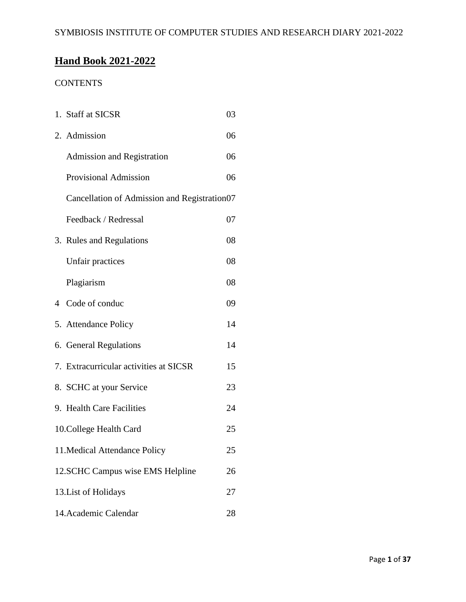# **Hand Book 2021-2022**

# **CONTENTS**

| 1. Staff at SICSR                            | 03 |
|----------------------------------------------|----|
| 2. Admission                                 | 06 |
| Admission and Registration                   | 06 |
| <b>Provisional Admission</b>                 | 06 |
| Cancellation of Admission and Registration07 |    |
| Feedback / Redressal                         | 07 |
| 3. Rules and Regulations                     | 08 |
| Unfair practices                             | 08 |
| Plagiarism                                   | 08 |
| 4 Code of conduc                             | 09 |
| 5. Attendance Policy                         | 14 |
| 6. General Regulations                       | 14 |
| 7. Extracurricular activities at SICSR       | 15 |
| 8. SCHC at your Service                      | 23 |
| 9. Health Care Facilities                    | 24 |
| 10. College Health Card                      | 25 |
| 11. Medical Attendance Policy                | 25 |
| 12.SCHC Campus wise EMS Helpline             | 26 |
| 13. List of Holidays                         | 27 |
| 14. Academic Calendar                        | 28 |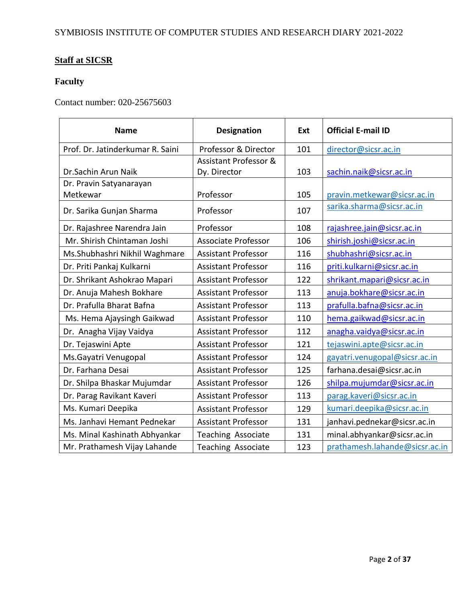# **Staff at SICSR**

# **Faculty**

Contact number: 020-25675603

| <b>Name</b>                      | <b>Designation</b>               | Ext | <b>Official E-mail ID</b>      |
|----------------------------------|----------------------------------|-----|--------------------------------|
| Prof. Dr. Jatinderkumar R. Saini | Professor & Director             | 101 | director@sicsr.ac.in           |
|                                  | <b>Assistant Professor &amp;</b> |     |                                |
| Dr. Sachin Arun Naik             | Dy. Director                     | 103 | sachin.naik@sicsr.ac.in        |
| Dr. Pravin Satyanarayan          |                                  |     |                                |
| Metkewar                         | Professor                        | 105 | pravin.metkewar@sicsr.ac.in    |
| Dr. Sarika Gunjan Sharma         | Professor                        | 107 | sarika.sharma@sicsr.ac.in      |
| Dr. Rajashree Narendra Jain      | Professor                        | 108 | rajashree.jain@sicsr.ac.in     |
| Mr. Shirish Chintaman Joshi      | <b>Associate Professor</b>       | 106 | shirish.joshi@sicsr.ac.in      |
| Ms.Shubhashri Nikhil Waghmare    | <b>Assistant Professor</b>       | 116 | shubhashri@sicsr.ac.in         |
| Dr. Priti Pankaj Kulkarni        | <b>Assistant Professor</b>       | 116 | priti.kulkarni@sicsr.ac.in     |
| Dr. Shrikant Ashokrao Mapari     | <b>Assistant Professor</b>       | 122 | shrikant.mapari@sicsr.ac.in    |
| Dr. Anuja Mahesh Bokhare         | <b>Assistant Professor</b>       | 113 | anuja.bokhare@sicsr.ac.in      |
| Dr. Prafulla Bharat Bafna        | <b>Assistant Professor</b>       | 113 | prafulla.bafna@sicsr.ac.in     |
| Ms. Hema Ajaysingh Gaikwad       | <b>Assistant Professor</b>       | 110 | hema.gaikwad@sicsr.ac.in       |
| Dr. Anagha Vijay Vaidya          | <b>Assistant Professor</b>       | 112 | anagha.vaidya@sicsr.ac.in      |
| Dr. Tejaswini Apte               | <b>Assistant Professor</b>       | 121 | tejaswini.apte@sicsr.ac.in     |
| Ms.Gayatri Venugopal             | <b>Assistant Professor</b>       | 124 | gayatri.venugopal@sicsr.ac.in  |
| Dr. Farhana Desai                | <b>Assistant Professor</b>       | 125 | farhana.desai@sicsr.ac.in      |
| Dr. Shilpa Bhaskar Mujumdar      | <b>Assistant Professor</b>       | 126 | shilpa.mujumdar@sicsr.ac.in    |
| Dr. Parag Ravikant Kaveri        | <b>Assistant Professor</b>       | 113 | parag.kaveri@sicsr.ac.in       |
| Ms. Kumari Deepika               | <b>Assistant Professor</b>       | 129 | kumari.deepika@sicsr.ac.in     |
| Ms. Janhavi Hemant Pednekar      | <b>Assistant Professor</b>       | 131 | janhavi.pednekar@sicsr.ac.in   |
| Ms. Minal Kashinath Abhyankar    | Teaching Associate               | 131 | minal.abhyankar@sicsr.ac.in    |
| Mr. Prathamesh Vijay Lahande     | Teaching Associate               | 123 | prathamesh.lahande@sicsr.ac.in |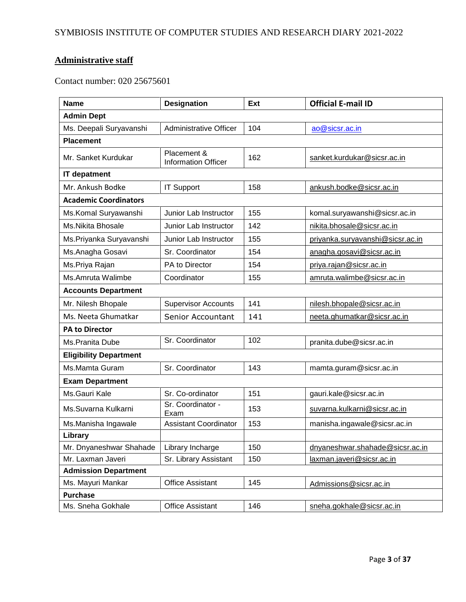# **Administrative staff**

Contact number: 020 25675601

| <b>Name</b>                   | <b>Designation</b>                        | Ext                                | <b>Official E-mail ID</b>        |
|-------------------------------|-------------------------------------------|------------------------------------|----------------------------------|
| <b>Admin Dept</b>             |                                           |                                    |                                  |
| Ms. Deepali Suryavanshi       | <b>Administrative Officer</b>             | 104                                | ao@sicsr.ac.in                   |
| <b>Placement</b>              |                                           |                                    |                                  |
| Mr. Sanket Kurdukar           | Placement &<br><b>Information Officer</b> | 162<br>sanket.kurdukar@sicsr.ac.in |                                  |
| <b>IT depatment</b>           |                                           |                                    |                                  |
| Mr. Ankush Bodke              | <b>IT Support</b>                         | 158                                | ankush.bodke@sicsr.ac.in         |
| <b>Academic Coordinators</b>  |                                           |                                    |                                  |
| Ms. Komal Suryawanshi         | Junior Lab Instructor                     | 155                                | komal.suryawanshi@sicsr.ac.in    |
| Ms.Nikita Bhosale             | Junior Lab Instructor                     | 142                                | nikita.bhosale@sicsr.ac.in       |
| Ms.Priyanka Suryavanshi       | Junior Lab Instructor                     | 155                                | priyanka.suryavanshi@sicsr.ac.in |
| Ms. Anagha Gosavi             | Sr. Coordinator                           | 154                                | anagha.gosavi@sicsr.ac.in        |
| Ms.Priya Rajan                | PA to Director                            | 154                                | priya.rajan@sicsr.ac.in          |
| Ms.Amruta Walimbe             | Coordinator                               | 155                                | amruta.walimbe@sicsr.ac.in       |
| <b>Accounts Department</b>    |                                           |                                    |                                  |
| Mr. Nilesh Bhopale            | <b>Supervisor Accounts</b>                | 141                                | nilesh.bhopale@sicsr.ac.in       |
| Ms. Neeta Ghumatkar           | <b>Senior Accountant</b>                  | 141                                | neeta.ghumatkar@sicsr.ac.in      |
| <b>PA to Director</b>         |                                           |                                    |                                  |
| Ms.Pranita Dube               | Sr. Coordinator                           | 102                                | pranita.dube@sicsr.ac.in         |
| <b>Eligibility Department</b> |                                           |                                    |                                  |
| Ms.Mamta Guram                | Sr. Coordinator                           | 143                                | mamta.guram@sicsr.ac.in          |
| <b>Exam Department</b>        |                                           |                                    |                                  |
| Ms.Gauri Kale                 | Sr. Co-ordinator                          | 151                                | gauri.kale@sicsr.ac.in           |
| Ms.Suvarna Kulkarni           | Sr. Coordinator -<br>Exam                 | 153                                | suvarna.kulkarni@sicsr.ac.in     |
| Ms.Manisha Ingawale           | <b>Assistant Coordinator</b>              | 153                                | manisha.ingawale@sicsr.ac.in     |
| Library                       |                                           |                                    |                                  |
| Mr. Dnyaneshwar Shahade       | Library Incharge                          | 150                                | dnyaneshwar.shahade@sicsr.ac.in  |
| Mr. Laxman Javeri             | Sr. Library Assistant                     | 150                                | laxman.javeri@sicsr.ac.in        |
| <b>Admission Department</b>   |                                           |                                    |                                  |
| Ms. Mayuri Mankar             | <b>Office Assistant</b>                   | 145                                | Admissions@sicsr.ac.in           |
| <b>Purchase</b>               |                                           |                                    |                                  |
| Ms. Sneha Gokhale             | <b>Office Assistant</b>                   | 146                                | sneha.gokhale@sicsr.ac.in        |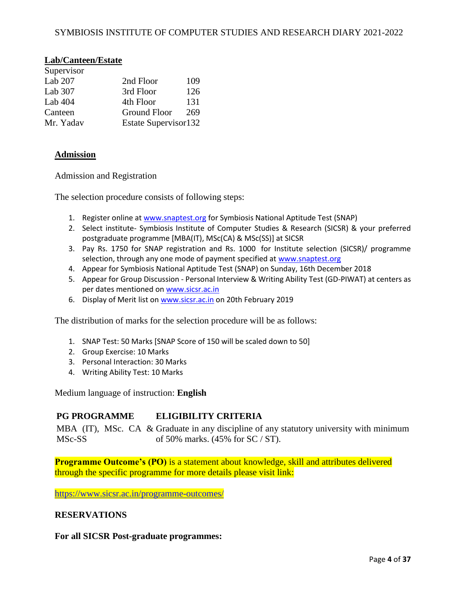## **Lab/Canteen/Estate**

| Supervisor |                      |     |
|------------|----------------------|-----|
| Lab $207$  | 2nd Floor            | 109 |
| Lab $307$  | 3rd Floor            | 126 |
| Lab $404$  | 4th Floor            | 131 |
| Canteen    | Ground Floor         | 269 |
| Mr. Yadav  | Estate Supervisor132 |     |

#### **Admission**

Admission and Registration

The selection procedure consists of following steps:

- 1. Register online a[t www.snaptest.org](http://www.snaptest.org/) for Symbiosis National Aptitude Test (SNAP)
- 2. Select institute- Symbiosis Institute of Computer Studies & Research (SICSR) & your preferred postgraduate programme [MBA(IT), MSc(CA) & MSc(SS)] at SICSR
- 3. Pay Rs. 1750 for SNAP registration and Rs. 1000 for Institute selection (SICSR)/ programme selection, through any one mode of payment specified at [www.snaptest.org](http://www.snaptest.org/)
- 4. Appear for Symbiosis National Aptitude Test (SNAP) on Sunday, 16th December 2018
- 5. Appear for Group Discussion Personal Interview & Writing Ability Test (GD-PIWAT) at centers as per dates mentioned on [www.sicsr.ac.in](https://www.sicsr.ac.in/)
- 6. Display of Merit list on [www.sicsr.ac.in](https://www.sicsr.ac.in/) on 20th February 2019

The distribution of marks for the selection procedure will be as follows:

- 1. SNAP Test: 50 Marks [SNAP Score of 150 will be scaled down to 50]
- 2. Group Exercise: 10 Marks
- 3. Personal Interaction: 30 Marks
- 4. Writing Ability Test: 10 Marks

Medium language of instruction: **English**

#### **PG PROGRAMME ELIGIBILITY CRITERIA**

MBA (IT), MSc. CA & Graduate in any discipline of any statutory university with minimum MSc-SS of 50% marks. (45% for SC / ST).

**Programme Outcome's (PO)** is a statement about knowledge, skill and attributes delivered through the specific programme for more details please visit link:

<https://www.sicsr.ac.in/programme-outcomes/>

#### **RESERVATIONS**

#### **For all SICSR Post-graduate programmes:**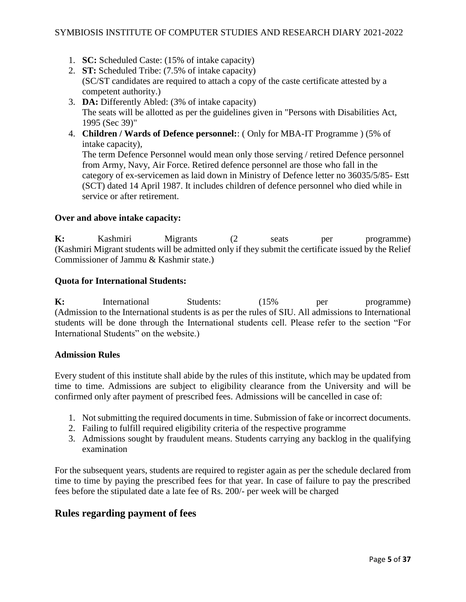- 1. **SC:** Scheduled Caste: (15% of intake capacity)
- 2. **ST:** Scheduled Tribe: (7.5% of intake capacity) (SC/ST candidates are required to attach a copy of the caste certificate attested by a competent authority.)
- 3. **DA:** Differently Abled: (3% of intake capacity) The seats will be allotted as per the guidelines given in "Persons with Disabilities Act, 1995 (Sec 39)"
- 4. **Children / Wards of Defence personnel:**: ( Only for MBA-IT Programme ) (5% of intake capacity), The term Defence Personnel would mean only those serving / retired Defence personnel

from Army, Navy, Air Force. Retired defence personnel are those who fall in the category of ex-servicemen as laid down in Ministry of Defence letter no 36035/5/85- Estt (SCT) dated 14 April 1987. It includes children of defence personnel who died while in service or after retirement.

#### **Over and above intake capacity:**

**K:** Kashmiri Migrants (2 seats per programme) (Kashmiri Migrant students will be admitted only if they submit the certificate issued by the Relief Commissioner of Jammu & Kashmir state.)

#### **Quota for International Students:**

**K:** International Students: (15% per programme) (Admission to the International students is as per the rules of SIU. All admissions to International students will be done through the International students cell. Please refer to the section "For International Students" on the website.)

#### **Admission Rules**

Every student of this institute shall abide by the rules of this institute, which may be updated from time to time. Admissions are subject to eligibility clearance from the University and will be confirmed only after payment of prescribed fees. Admissions will be cancelled in case of:

- 1. Not submitting the required documents in time. Submission of fake or incorrect documents.
- 2. Failing to fulfill required eligibility criteria of the respective programme
- 3. Admissions sought by fraudulent means. Students carrying any backlog in the qualifying examination

For the subsequent years, students are required to register again as per the schedule declared from time to time by paying the prescribed fees for that year. In case of failure to pay the prescribed fees before the stipulated date a late fee of Rs. 200/- per week will be charged

## **Rules regarding payment of fees**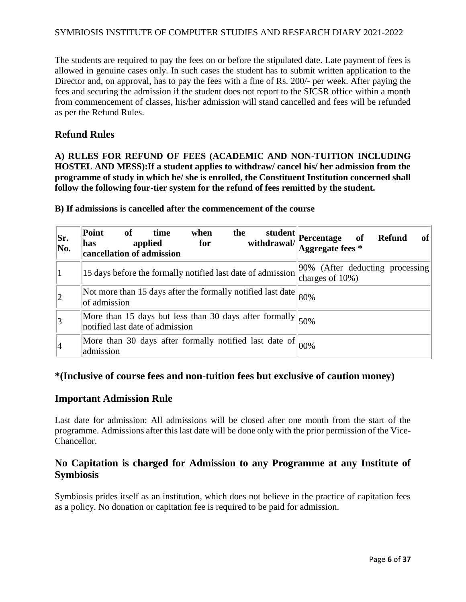The students are required to pay the fees on or before the stipulated date. Late payment of fees is allowed in genuine cases only. In such cases the student has to submit written application to the Director and, on approval, has to pay the fees with a fine of Rs. 200/- per week. After paying the fees and securing the admission if the student does not report to the SICSR office within a month from commencement of classes, his/her admission will stand cancelled and fees will be refunded as per the Refund Rules.

## **Refund Rules**

**A) RULES FOR REFUND OF FEES (ACADEMIC AND NON-TUITION INCLUDING HOSTEL AND MESS):If a student applies to withdraw/ cancel his/ her admission from the programme of study in which he/ she is enrolled, the Constituent Institution concerned shall follow the following four-tier system for the refund of fees remitted by the student.**

| Sr.<br>No.  | Point<br>of<br>when<br>the<br>student  <br>time<br>withdrawal/<br>applied<br>for<br>has<br>cancellation of admission | Percentage of<br>Aggregate fees *<br>of<br><b>Refund</b> |
|-------------|----------------------------------------------------------------------------------------------------------------------|----------------------------------------------------------|
|             | 15 days before the formally notified last date of admission                                                          | [90% (After deducting processing]<br>charges of $10\%$ ) |
| $ 2\rangle$ | Not more than 15 days after the formally notified last date $ 80\% $<br>of admission                                 |                                                          |
| 3           | More than 15 days but less than 30 days after formally $ 50\% $                                                      |                                                          |
| 14          | More than 30 days after formally notified last date of<br>admission                                                  | 00%                                                      |

**B) If admissions is cancelled after the commencement of the course**

## **\*(Inclusive of course fees and non-tuition fees but exclusive of caution money)**

#### **Important Admission Rule**

Last date for admission: All admissions will be closed after one month from the start of the programme. Admissions after this last date will be done only with the prior permission of the Vice-Chancellor.

# **No Capitation is charged for Admission to any Programme at any Institute of Symbiosis**

Symbiosis prides itself as an institution, which does not believe in the practice of capitation fees as a policy. No donation or capitation fee is required to be paid for admission.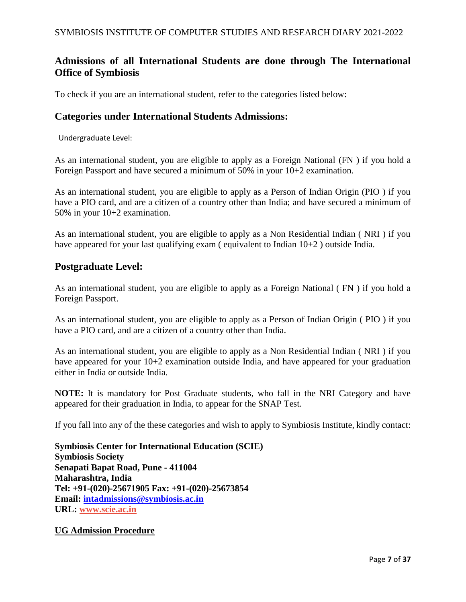# **Admissions of all International Students are done through The International Office of Symbiosis**

To check if you are an international student, refer to the categories listed below:

## **Categories under International Students Admissions:**

Undergraduate Level:

As an international student, you are eligible to apply as a Foreign National (FN ) if you hold a Foreign Passport and have secured a minimum of 50% in your 10+2 examination.

As an international student, you are eligible to apply as a Person of Indian Origin (PIO ) if you have a PIO card, and are a citizen of a country other than India; and have secured a minimum of 50% in your 10+2 examination.

As an international student, you are eligible to apply as a Non Residential Indian ( NRI ) if you have appeared for your last qualifying exam (equivalent to Indian 10+2) outside India.

## **Postgraduate Level:**

As an international student, you are eligible to apply as a Foreign National ( FN ) if you hold a Foreign Passport.

As an international student, you are eligible to apply as a Person of Indian Origin ( PIO ) if you have a PIO card, and are a citizen of a country other than India.

As an international student, you are eligible to apply as a Non Residential Indian ( NRI ) if you have appeared for your 10+2 examination outside India, and have appeared for your graduation either in India or outside India.

**NOTE:** It is mandatory for Post Graduate students, who fall in the NRI Category and have appeared for their graduation in India, to appear for the SNAP Test.

If you fall into any of the these categories and wish to apply to Symbiosis Institute, kindly contact:

**Symbiosis Center for International Education (SCIE) Symbiosis Society Senapati Bapat Road, Pune - 411004 Maharashtra, India Tel: +91-(020)-25671905 Fax: +91-(020)-25673854 Email: [intadmissions@symbiosis.ac.in](mailto:intadmissions@symbiosis.ac.in) URL: [www.scie.ac.in](http://www.scie.ac.in/)**

#### **UG Admission Procedure**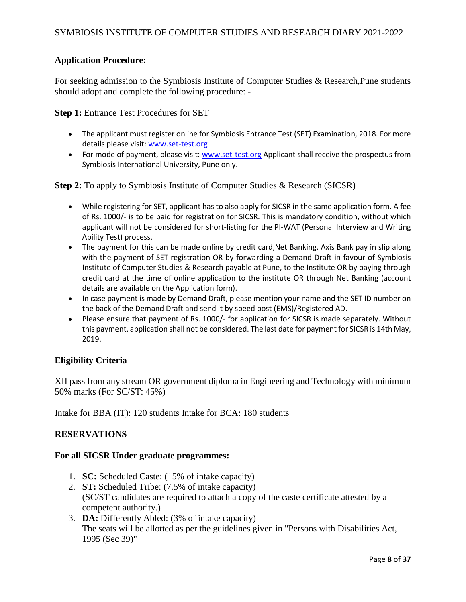## **Application Procedure:**

For seeking admission to the Symbiosis Institute of Computer Studies & Research,Pune students should adopt and complete the following procedure: -

**Step 1:** Entrance Test Procedures for SET

- The applicant must register online for Symbiosis Entrance Test (SET) Examination, 2018. For more details please visit: [www.set-test.org](https://www.set-test.org/)
- For mode of payment, please visit: [www.set-test.org](https://www.set-test.org/) Applicant shall receive the prospectus from Symbiosis International University, Pune only.

**Step 2:** To apply to Symbiosis Institute of Computer Studies & Research (SICSR)

- While registering for SET, applicant has to also apply for SICSR in the same application form. A fee of Rs. 1000/- is to be paid for registration for SICSR. This is mandatory condition, without which applicant will not be considered for short-listing for the PI-WAT (Personal Interview and Writing Ability Test) process.
- The payment for this can be made online by credit card, Net Banking, Axis Bank pay in slip along with the payment of SET registration OR by forwarding a Demand Draft in favour of Symbiosis Institute of Computer Studies & Research payable at Pune, to the Institute OR by paying through credit card at the time of online application to the institute OR through Net Banking (account details are available on the Application form).
- In case payment is made by Demand Draft, please mention your name and the SET ID number on the back of the Demand Draft and send it by speed post (EMS)/Registered AD.
- Please ensure that payment of Rs. 1000/- for application for SICSR is made separately. Without this payment, application shall not be considered. The last date for payment for SICSR is 14th May, 2019.

#### **Eligibility Criteria**

XII pass from any stream OR government diploma in Engineering and Technology with minimum 50% marks (For SC/ST: 45%)

Intake for BBA (IT): 120 students Intake for BCA: 180 students

#### **RESERVATIONS**

#### **For all SICSR Under graduate programmes:**

- 1. **SC:** Scheduled Caste: (15% of intake capacity)
- 2. **ST:** Scheduled Tribe: (7.5% of intake capacity) (SC/ST candidates are required to attach a copy of the caste certificate attested by a competent authority.)
- 3. **DA:** Differently Abled: (3% of intake capacity) The seats will be allotted as per the guidelines given in "Persons with Disabilities Act, 1995 (Sec 39)"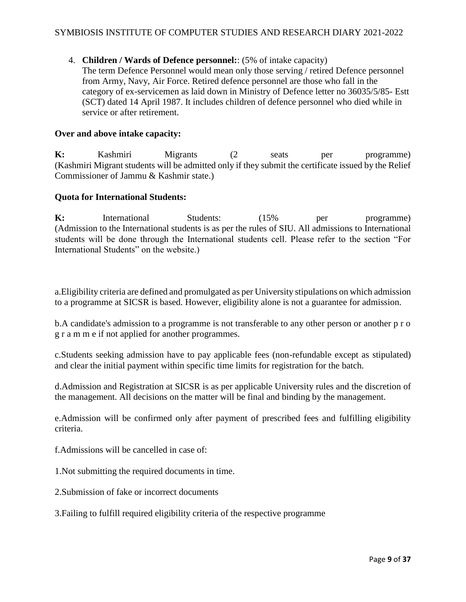#### 4. **Children / Wards of Defence personnel:**: (5% of intake capacity)

The term Defence Personnel would mean only those serving / retired Defence personnel from Army, Navy, Air Force. Retired defence personnel are those who fall in the category of ex-servicemen as laid down in Ministry of Defence letter no 36035/5/85- Estt (SCT) dated 14 April 1987. It includes children of defence personnel who died while in service or after retirement.

## **Over and above intake capacity:**

**K:** Kashmiri Migrants (2 seats per programme) (Kashmiri Migrant students will be admitted only if they submit the certificate issued by the Relief Commissioner of Jammu & Kashmir state.)

#### **Quota for International Students:**

**K:** International Students: (15% per programme) (Admission to the International students is as per the rules of SIU. All admissions to International students will be done through the International students cell. Please refer to the section "For International Students" on the website.)

a.Eligibility criteria are defined and promulgated as per University stipulations on which admission to a programme at SICSR is based. However, eligibility alone is not a guarantee for admission.

b.A candidate's admission to a programme is not transferable to any other person or another p r o g r a m m e if not applied for another programmes.

c.Students seeking admission have to pay applicable fees (non-refundable except as stipulated) and clear the initial payment within specific time limits for registration for the batch.

d.Admission and Registration at SICSR is as per applicable University rules and the discretion of the management. All decisions on the matter will be final and binding by the management.

e.Admission will be confirmed only after payment of prescribed fees and fulfilling eligibility criteria.

f.Admissions will be cancelled in case of:

- 1.Not submitting the required documents in time.
- 2.Submission of fake or incorrect documents

3.Failing to fulfill required eligibility criteria of the respective programme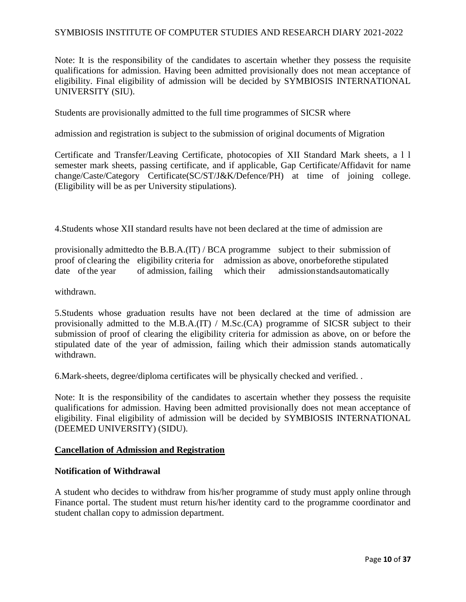Note: It is the responsibility of the candidates to ascertain whether they possess the requisite qualifications for admission. Having been admitted provisionally does not mean acceptance of eligibility. Final eligibility of admission will be decided by SYMBIOSIS INTERNATIONAL UNIVERSITY (SIU).

Students are provisionally admitted to the full time programmes of SICSR where

admission and registration is subject to the submission of original documents of Migration

Certificate and Transfer/Leaving Certificate, photocopies of XII Standard Mark sheets, a l l semester mark sheets, passing certificate, and if applicable, Gap Certificate/Affidavit for name change/Caste/Category Certificate(SC/ST/J&K/Defence/PH) at time of joining college. (Eligibility will be as per University stipulations).

4.Students whose XII standard results have not been declared at the time of admission are

provisionally admittedto the B.B.A.(IT) / BCA programme subject to their submission of proof of clearing the eligibility criteria for admission as above, onorbeforethe stipulated date of the year of admission, failing which their admission stands automatically

withdrawn.

5.Students whose graduation results have not been declared at the time of admission are provisionally admitted to the M.B.A.(IT) / M.Sc.(CA) programme of SICSR subject to their submission of proof of clearing the eligibility criteria for admission as above, on or before the stipulated date of the year of admission, failing which their admission stands automatically withdrawn.

6.Mark-sheets, degree/diploma certificates will be physically checked and verified. .

Note: It is the responsibility of the candidates to ascertain whether they possess the requisite qualifications for admission. Having been admitted provisionally does not mean acceptance of eligibility. Final eligibility of admission will be decided by SYMBIOSIS INTERNATIONAL (DEEMED UNIVERSITY) (SIDU).

#### **Cancellation of Admission and Registration**

#### **Notification of Withdrawal**

A student who decides to withdraw from his/her programme of study must apply online through Finance portal. The student must return his/her identity card to the programme coordinator and student challan copy to admission department.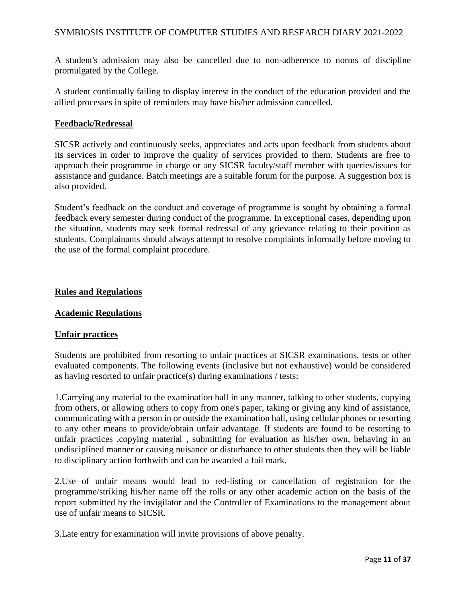A student's admission may also be cancelled due to non-adherence to norms of discipline promulgated by the College.

A student continually failing to display interest in the conduct of the education provided and the allied processes in spite of reminders may have his/her admission cancelled.

#### **Feedback/Redressal**

SICSR actively and continuously seeks, appreciates and acts upon feedback from students about its services in order to improve the quality of services provided to them. Students are free to approach their programme in charge or any SICSR faculty/staff member with queries/issues for assistance and guidance. Batch meetings are a suitable forum for the purpose. A suggestion box is also provided.

Student's feedback on the conduct and coverage of programme is sought by obtaining a formal feedback every semester during conduct of the programme. In exceptional cases, depending upon the situation, students may seek formal redressal of any grievance relating to their position as students. Complainants should always attempt to resolve complaints informally before moving to the use of the formal complaint procedure.

#### **Rules and Regulations**

#### **Academic Regulations**

#### **Unfair practices**

Students are prohibited from resorting to unfair practices at SICSR examinations, tests or other evaluated components. The following events (inclusive but not exhaustive) would be considered as having resorted to unfair practice(s) during examinations / tests:

1.Carrying any material to the examination hall in any manner, talking to other students, copying from others, or allowing others to copy from one's paper, taking or giving any kind of assistance, communicating with a person in or outside the examination hall, using cellular phones or resorting to any other means to provide/obtain unfair advantage. If students are found to be resorting to unfair practices ,copying material , submitting for evaluation as his/her own, behaving in an undisciplined manner or causing nuisance or disturbance to other students then they will be liable to disciplinary action forthwith and can be awarded a fail mark.

2.Use of unfair means would lead to red-listing or cancellation of registration for the programme/striking his/her name off the rolls or any other academic action on the basis of the report submitted by the invigilator and the Controller of Examinations to the management about use of unfair means to SICSR.

3.Late entry for examination will invite provisions of above penalty.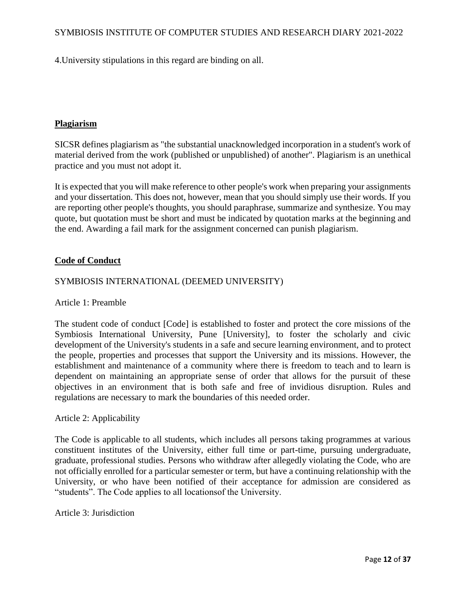4.University stipulations in this regard are binding on all.

#### **Plagiarism**

SICSR defines plagiarism as "the substantial unacknowledged incorporation in a student's work of material derived from the work (published or unpublished) of another". Plagiarism is an unethical practice and you must not adopt it.

It is expected that you will make reference to other people's work when preparing your assignments and your dissertation. This does not, however, mean that you should simply use their words. If you are reporting other people's thoughts, you should paraphrase, summarize and synthesize. You may quote, but quotation must be short and must be indicated by quotation marks at the beginning and the end. Awarding a fail mark for the assignment concerned can punish plagiarism.

#### **Code of Conduct**

#### SYMBIOSIS INTERNATIONAL (DEEMED UNIVERSITY)

Article 1: Preamble

The student code of conduct [Code] is established to foster and protect the core missions of the Symbiosis International University, Pune [University], to foster the scholarly and civic development of the University's students in a safe and secure learning environment, and to protect the people, properties and processes that support the University and its missions. However, the establishment and maintenance of a community where there is freedom to teach and to learn is dependent on maintaining an appropriate sense of order that allows for the pursuit of these objectives in an environment that is both safe and free of invidious disruption. Rules and regulations are necessary to mark the boundaries of this needed order.

#### Article 2: Applicability

The Code is applicable to all students, which includes all persons taking programmes at various constituent institutes of the University, either full time or part-time, pursuing undergraduate, graduate, professional studies. Persons who withdraw after allegedly violating the Code, who are not officially enrolled for a particular semester or term, but have a continuing relationship with the University, or who have been notified of their acceptance for admission are considered as "students". The Code applies to all locationsof the University.

#### Article 3: Jurisdiction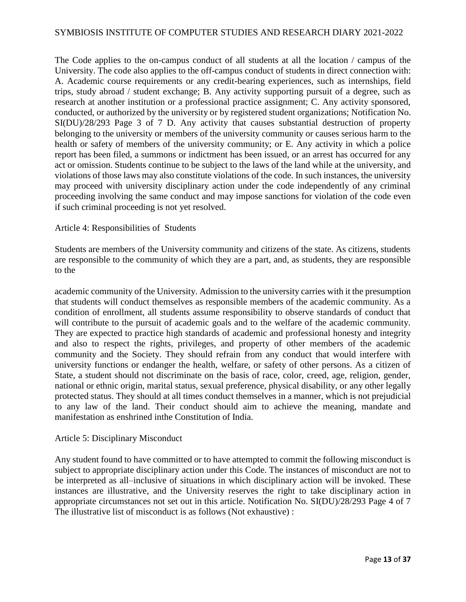The Code applies to the on-campus conduct of all students at all the location / campus of the University. The code also applies to the off-campus conduct of students in direct connection with: A. Academic course requirements or any credit-bearing experiences, such as internships, field trips, study abroad / student exchange; B. Any activity supporting pursuit of a degree, such as research at another institution or a professional practice assignment; C. Any activity sponsored, conducted, or authorized by the university or by registered student organizations; Notification No. SI(DU)/28/293 Page 3 of 7 D. Any activity that causes substantial destruction of property belonging to the university or members of the university community or causes serious harm to the health or safety of members of the university community; or E. Any activity in which a police report has been filed, a summons or indictment has been issued, or an arrest has occurred for any act or omission. Students continue to be subject to the laws of the land while at the university, and violations of those laws may also constitute violations of the code. In such instances, the university may proceed with university disciplinary action under the code independently of any criminal proceeding involving the same conduct and may impose sanctions for violation of the code even if such criminal proceeding is not yet resolved.

#### Article 4: Responsibilities of Students

Students are members of the University community and citizens of the state. As citizens, students are responsible to the community of which they are a part, and, as students, they are responsible to the

academic community of the University. Admission to the university carries with it the presumption that students will conduct themselves as responsible members of the academic community. As a condition of enrollment, all students assume responsibility to observe standards of conduct that will contribute to the pursuit of academic goals and to the welfare of the academic community. They are expected to practice high standards of academic and professional honesty and integrity and also to respect the rights, privileges, and property of other members of the academic community and the Society. They should refrain from any conduct that would interfere with university functions or endanger the health, welfare, or safety of other persons. As a citizen of State, a student should not discriminate on the basis of race, color, creed, age, religion, gender, national or ethnic origin, marital status, sexual preference, physical disability, or any other legally protected status. They should at all times conduct themselves in a manner, which is not prejudicial to any law of the land. Their conduct should aim to achieve the meaning, mandate and manifestation as enshrined inthe Constitution of India.

#### Article 5: Disciplinary Misconduct

Any student found to have committed or to have attempted to commit the following misconduct is subject to appropriate disciplinary action under this Code. The instances of misconduct are not to be interpreted as all–inclusive of situations in which disciplinary action will be invoked. These instances are illustrative, and the University reserves the right to take disciplinary action in appropriate circumstances not set out in this article. Notification No. SI(DU)/28/293 Page 4 of 7 The illustrative list of misconduct is as follows (Not exhaustive) :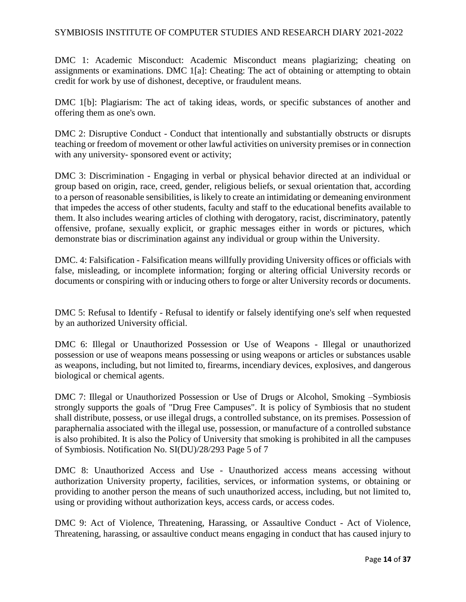DMC 1: Academic Misconduct: Academic Misconduct means plagiarizing; cheating on assignments or examinations. DMC 1[a]: Cheating: The act of obtaining or attempting to obtain credit for work by use of dishonest, deceptive, or fraudulent means.

DMC 1[b]: Plagiarism: The act of taking ideas, words, or specific substances of another and offering them as one's own.

DMC 2: Disruptive Conduct - Conduct that intentionally and substantially obstructs or disrupts teaching or freedom of movement or other lawful activities on university premises or in connection with any university- sponsored event or activity;

DMC 3: Discrimination - Engaging in verbal or physical behavior directed at an individual or group based on origin, race, creed, gender, religious beliefs, or sexual orientation that, according to a person of reasonable sensibilities, is likely to create an intimidating or demeaning environment that impedes the access of other students, faculty and staff to the educational benefits available to them. It also includes wearing articles of clothing with derogatory, racist, discriminatory, patently offensive, profane, sexually explicit, or graphic messages either in words or pictures, which demonstrate bias or discrimination against any individual or group within the University.

DMC. 4: Falsification - Falsification means willfully providing University offices or officials with false, misleading, or incomplete information; forging or altering official University records or documents or conspiring with or inducing others to forge or alter University records or documents.

DMC 5: Refusal to Identify - Refusal to identify or falsely identifying one's self when requested by an authorized University official.

DMC 6: Illegal or Unauthorized Possession or Use of Weapons - Illegal or unauthorized possession or use of weapons means possessing or using weapons or articles or substances usable as weapons, including, but not limited to, firearms, incendiary devices, explosives, and dangerous biological or chemical agents.

DMC 7: Illegal or Unauthorized Possession or Use of Drugs or Alcohol, Smoking –Symbiosis strongly supports the goals of "Drug Free Campuses". It is policy of Symbiosis that no student shall distribute, possess, or use illegal drugs, a controlled substance, on its premises. Possession of paraphernalia associated with the illegal use, possession, or manufacture of a controlled substance is also prohibited. It is also the Policy of University that smoking is prohibited in all the campuses of Symbiosis. Notification No. SI(DU)/28/293 Page 5 of 7

DMC 8: Unauthorized Access and Use - Unauthorized access means accessing without authorization University property, facilities, services, or information systems, or obtaining or providing to another person the means of such unauthorized access, including, but not limited to, using or providing without authorization keys, access cards, or access codes.

DMC 9: Act of Violence, Threatening, Harassing, or Assaultive Conduct - Act of Violence, Threatening, harassing, or assaultive conduct means engaging in conduct that has caused injury to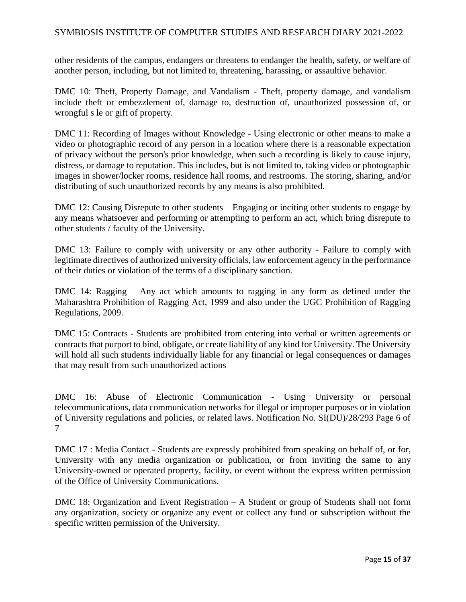other residents of the campus, endangers or threatens to endanger the health, safety, or welfare of another person, including, but not limited to, threatening, harassing, or assaultive behavior.

DMC 10: Theft, Property Damage, and Vandalism - Theft, property damage, and vandalism include theft or embezzlement of, damage to, destruction of, unauthorized possession of, or wrongful s le or gift of property.

DMC 11: Recording of Images without Knowledge - Using electronic or other means to make a video or photographic record of any person in a location where there is a reasonable expectation of privacy without the person's prior knowledge, when such a recording is likely to cause injury, distress, or damage to reputation. This includes, but is not limited to, taking video or photographic images in shower/locker rooms, residence hall rooms, and restrooms. The storing, sharing, and/or distributing of such unauthorized records by any means is also prohibited.

DMC 12: Causing Disrepute to other students – Engaging or inciting other students to engage by any means whatsoever and performing or attempting to perform an act, which bring disrepute to other students / faculty of the University.

DMC 13: Failure to comply with university or any other authority - Failure to comply with legitimate directives of authorized university officials, law enforcement agency in the performance of their duties or violation of the terms of a disciplinary sanction.

DMC 14: Ragging – Any act which amounts to ragging in any form as defined under the Maharashtra Prohibition of Ragging Act, 1999 and also under the UGC Prohibition of Ragging Regulations, 2009.

DMC 15: Contracts - Students are prohibited from entering into verbal or written agreements or contracts that purport to bind, obligate, or create liability of any kind for University. The University will hold all such students individually liable for any financial or legal consequences or damages that may result from such unauthorized actions

DMC 16: Abuse of Electronic Communication - Using University or personal telecommunications, data communication networks for illegal or improper purposes or in violation of University regulations and policies, or related laws. Notification No. SI(DU)/28/293 Page 6 of 7

DMC 17 : Media Contact - Students are expressly prohibited from speaking on behalf of, or for, University with any media organization or publication, or from inviting the same to any University-owned or operated property, facility, or event without the express written permission of the Office of University Communications.

DMC 18: Organization and Event Registration – A Student or group of Students shall not form any organization, society or organize any event or collect any fund or subscription without the specific written permission of the University.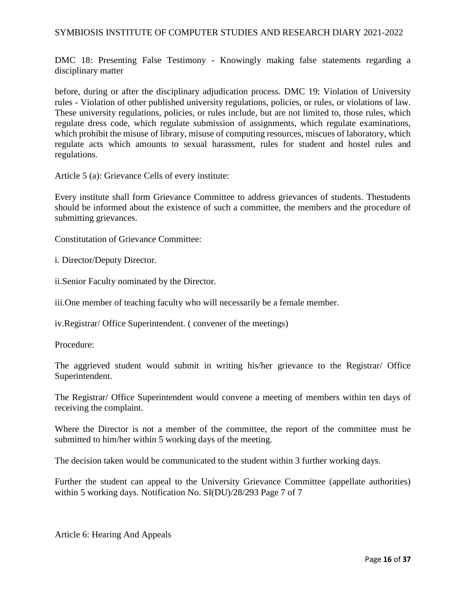DMC 18: Presenting False Testimony - Knowingly making false statements regarding a disciplinary matter

before, during or after the disciplinary adjudication process. DMC 19: Violation of University rules - Violation of other published university regulations, policies, or rules, or violations of law. These university regulations, policies, or rules include, but are not limited to, those rules, which regulate dress code, which regulate submission of assignments, which regulate examinations, which prohibit the misuse of library, misuse of computing resources, miscues of laboratory, which regulate acts which amounts to sexual harassment, rules for student and hostel rules and regulations.

Article 5 (a): Grievance Cells of every institute:

Every institute shall form Grievance Committee to address grievances of students. Thestudents should be informed about the existence of such a committee, the members and the procedure of submitting grievances.

Constitutation of Grievance Committee:

i. Director/Deputy Director.

ii.Senior Faculty nominated by the Director.

iii.One member of teaching faculty who will necessarily be a female member.

iv.Registrar/ Office Superintendent. ( convener of the meetings)

Procedure:

The aggrieved student would submit in writing his/her grievance to the Registrar/ Office Superintendent.

The Registrar/ Office Superintendent would convene a meeting of members within ten days of receiving the complaint.

Where the Director is not a member of the committee, the report of the committee must be submitted to him/her within 5 working days of the meeting.

The decision taken would be communicated to the student within 3 further working days.

Further the student can appeal to the University Grievance Committee (appellate authorities) within 5 working days. Notification No. SI(DU)/28/293 Page 7 of 7

Article 6: Hearing And Appeals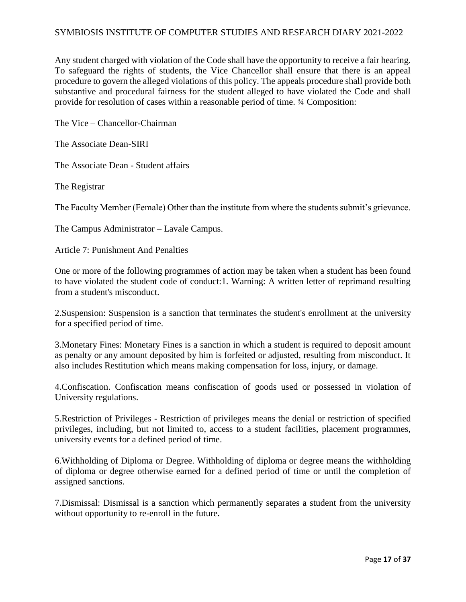Any student charged with violation of the Code shall have the opportunity to receive a fair hearing. To safeguard the rights of students, the Vice Chancellor shall ensure that there is an appeal procedure to govern the alleged violations of this policy. The appeals procedure shall provide both substantive and procedural fairness for the student alleged to have violated the Code and shall provide for resolution of cases within a reasonable period of time. ¾ Composition:

The Vice – Chancellor-Chairman

The Associate Dean-SIRI

The Associate Dean - Student affairs

The Registrar

The Faculty Member (Female) Other than the institute from where the students submit's grievance.

The Campus Administrator – Lavale Campus.

Article 7: Punishment And Penalties

One or more of the following programmes of action may be taken when a student has been found to have violated the student code of conduct:1. Warning: A written letter of reprimand resulting from a student's misconduct.

2.Suspension: Suspension is a sanction that terminates the student's enrollment at the university for a specified period of time.

3.Monetary Fines: Monetary Fines is a sanction in which a student is required to deposit amount as penalty or any amount deposited by him is forfeited or adjusted, resulting from misconduct. It also includes Restitution which means making compensation for loss, injury, or damage.

4.Confiscation. Confiscation means confiscation of goods used or possessed in violation of University regulations.

5.Restriction of Privileges - Restriction of privileges means the denial or restriction of specified privileges, including, but not limited to, access to a student facilities, placement programmes, university events for a defined period of time.

6.Withholding of Diploma or Degree. Withholding of diploma or degree means the withholding of diploma or degree otherwise earned for a defined period of time or until the completion of assigned sanctions.

7.Dismissal: Dismissal is a sanction which permanently separates a student from the university without opportunity to re-enroll in the future.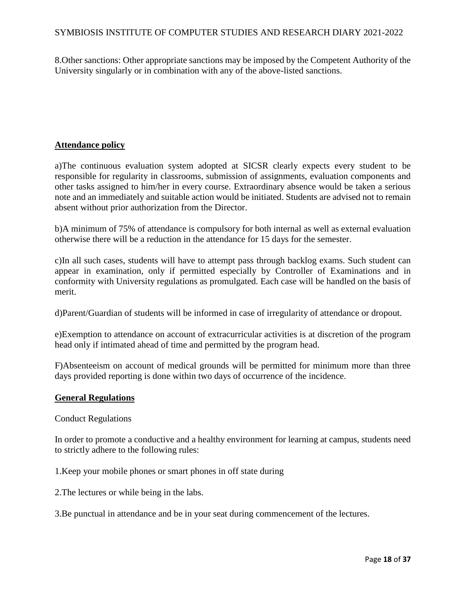8.Other sanctions: Other appropriate sanctions may be imposed by the Competent Authority of the University singularly or in combination with any of the above-listed sanctions.

#### **Attendance policy**

a)The continuous evaluation system adopted at SICSR clearly expects every student to be responsible for regularity in classrooms, submission of assignments, evaluation components and other tasks assigned to him/her in every course. Extraordinary absence would be taken a serious note and an immediately and suitable action would be initiated. Students are advised not to remain absent without prior authorization from the Director.

b)A minimum of 75% of attendance is compulsory for both internal as well as external evaluation otherwise there will be a reduction in the attendance for 15 days for the semester.

c)In all such cases, students will have to attempt pass through backlog exams. Such student can appear in examination, only if permitted especially by Controller of Examinations and in conformity with University regulations as promulgated. Each case will be handled on the basis of merit.

d)Parent/Guardian of students will be informed in case of irregularity of attendance or dropout.

e)Exemption to attendance on account of extracurricular activities is at discretion of the program head only if intimated ahead of time and permitted by the program head.

F)Absenteeism on account of medical grounds will be permitted for minimum more than three days provided reporting is done within two days of occurrence of the incidence.

#### **General Regulations**

Conduct Regulations

In order to promote a conductive and a healthy environment for learning at campus, students need to strictly adhere to the following rules:

1.Keep your mobile phones or smart phones in off state during

2.The lectures or while being in the labs.

3.Be punctual in attendance and be in your seat during commencement of the lectures.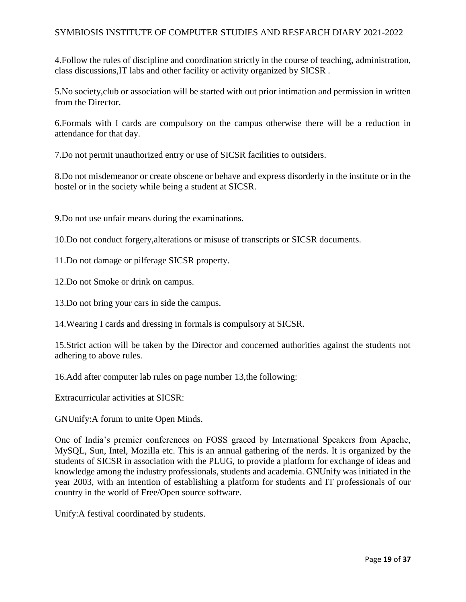4.Follow the rules of discipline and coordination strictly in the course of teaching, administration, class discussions,IT labs and other facility or activity organized by SICSR .

5.No society,club or association will be started with out prior intimation and permission in written from the Director.

6.Formals with I cards are compulsory on the campus otherwise there will be a reduction in attendance for that day.

7.Do not permit unauthorized entry or use of SICSR facilities to outsiders.

8.Do not misdemeanor or create obscene or behave and express disorderly in the institute or in the hostel or in the society while being a student at SICSR.

9.Do not use unfair means during the examinations.

10.Do not conduct forgery,alterations or misuse of transcripts or SICSR documents.

11.Do not damage or pilferage SICSR property.

12.Do not Smoke or drink on campus.

13.Do not bring your cars in side the campus.

14.Wearing I cards and dressing in formals is compulsory at SICSR.

15.Strict action will be taken by the Director and concerned authorities against the students not adhering to above rules.

16.Add after computer lab rules on page number 13,the following:

Extracurricular activities at SICSR:

GNUnify:A forum to unite Open Minds.

One of India's premier conferences on FOSS graced by International Speakers from Apache, MySQL, Sun, Intel, Mozilla etc. This is an annual gathering of the nerds. It is organized by the students of SICSR in association with the PLUG, to provide a platform for exchange of ideas and knowledge among the industry professionals, students and academia. GNUnify was initiated in the year 2003, with an intention of establishing a platform for students and IT professionals of our country in the world of Free/Open source software.

Unify:A festival coordinated by students.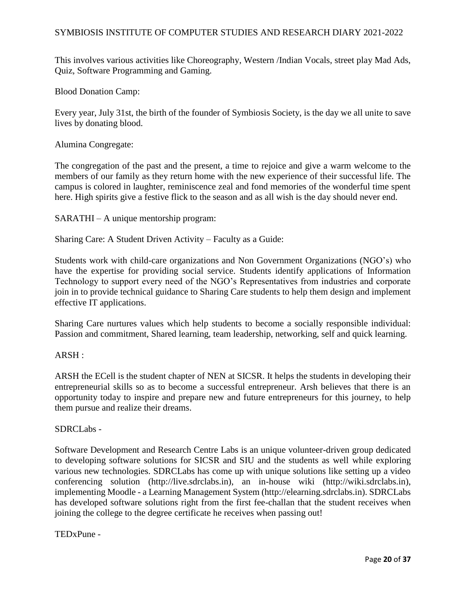This involves various activities like Choreography, Western /Indian Vocals, street play Mad Ads, Quiz, Software Programming and Gaming.

Blood Donation Camp:

Every year, July 31st, the birth of the founder of Symbiosis Society, is the day we all unite to save lives by donating blood.

Alumina Congregate:

The congregation of the past and the present, a time to rejoice and give a warm welcome to the members of our family as they return home with the new experience of their successful life. The campus is colored in laughter, reminiscence zeal and fond memories of the wonderful time spent here. High spirits give a festive flick to the season and as all wish is the day should never end.

SARATHI – A unique mentorship program:

Sharing Care: A Student Driven Activity – Faculty as a Guide:

Students work with child-care organizations and Non Government Organizations (NGO's) who have the expertise for providing social service. Students identify applications of Information Technology to support every need of the NGO's Representatives from industries and corporate join in to provide technical guidance to Sharing Care students to help them design and implement effective IT applications.

Sharing Care nurtures values which help students to become a socially responsible individual: Passion and commitment, Shared learning, team leadership, networking, self and quick learning.

#### ARSH :

ARSH the ECell is the student chapter of NEN at SICSR. It helps the students in developing their entrepreneurial skills so as to become a successful entrepreneur. Arsh believes that there is an opportunity today to inspire and prepare new and future entrepreneurs for this journey, to help them pursue and realize their dreams.

#### SDRCLabs -

Software Development and Research Centre Labs is an unique volunteer-driven group dedicated to developing software solutions for SICSR and SIU and the students as well while exploring various new technologies. SDRCLabs has come up with unique solutions like setting up a video conferencing solution (http://live.sdrclabs.in), an in-house wiki (http://wiki.sdrclabs.in), implementing Moodle - a Learning Management System (http://elearning.sdrclabs.in). SDRCLabs has developed software solutions right from the first fee-challan that the student receives when joining the college to the degree certificate he receives when passing out!

TEDxPune -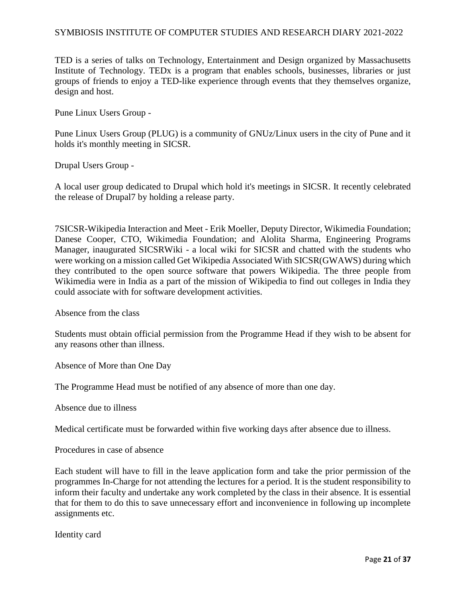TED is a series of talks on Technology, Entertainment and Design organized by Massachusetts Institute of Technology. TEDx is a program that enables schools, businesses, libraries or just groups of friends to enjoy a TED-like experience through events that they themselves organize, design and host.

Pune Linux Users Group -

Pune Linux Users Group (PLUG) is a community of GNUz/Linux users in the city of Pune and it holds it's monthly meeting in SICSR.

Drupal Users Group -

A local user group dedicated to Drupal which hold it's meetings in SICSR. It recently celebrated the release of Drupal7 by holding a release party.

7SICSR-Wikipedia Interaction and Meet - Erik Moeller, Deputy Director, Wikimedia Foundation; Danese Cooper, CTO, Wikimedia Foundation; and Alolita Sharma, Engineering Programs Manager, inaugurated SICSRWiki - a local wiki for SICSR and chatted with the students who were working on a mission called Get Wikipedia Associated With SICSR(GWAWS) during which they contributed to the open source software that powers Wikipedia. The three people from Wikimedia were in India as a part of the mission of Wikipedia to find out colleges in India they could associate with for software development activities.

Absence from the class

Students must obtain official permission from the Programme Head if they wish to be absent for any reasons other than illness.

Absence of More than One Day

The Programme Head must be notified of any absence of more than one day.

Absence due to illness

Medical certificate must be forwarded within five working days after absence due to illness.

Procedures in case of absence

Each student will have to fill in the leave application form and take the prior permission of the programmes In-Charge for not attending the lectures for a period. It is the student responsibility to inform their faculty and undertake any work completed by the class in their absence. It is essential that for them to do this to save unnecessary effort and inconvenience in following up incomplete assignments etc.

Identity card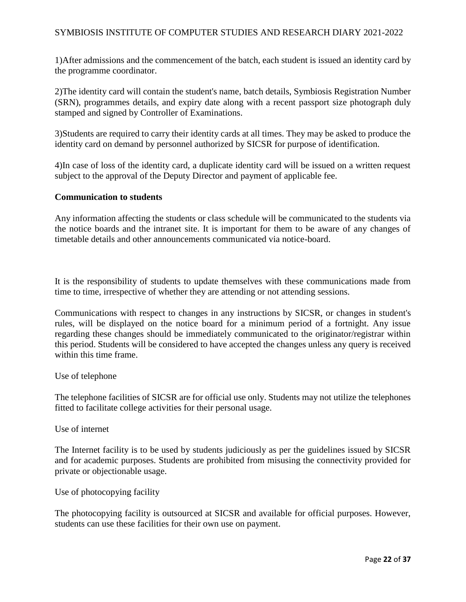1)After admissions and the commencement of the batch, each student is issued an identity card by the programme coordinator.

2)The identity card will contain the student's name, batch details, Symbiosis Registration Number (SRN), programmes details, and expiry date along with a recent passport size photograph duly stamped and signed by Controller of Examinations.

3)Students are required to carry their identity cards at all times. They may be asked to produce the identity card on demand by personnel authorized by SICSR for purpose of identification.

4)In case of loss of the identity card, a duplicate identity card will be issued on a written request subject to the approval of the Deputy Director and payment of applicable fee.

#### **Communication to students**

Any information affecting the students or class schedule will be communicated to the students via the notice boards and the intranet site. It is important for them to be aware of any changes of timetable details and other announcements communicated via notice-board.

It is the responsibility of students to update themselves with these communications made from time to time, irrespective of whether they are attending or not attending sessions.

Communications with respect to changes in any instructions by SICSR, or changes in student's rules, will be displayed on the notice board for a minimum period of a fortnight. Any issue regarding these changes should be immediately communicated to the originator/registrar within this period. Students will be considered to have accepted the changes unless any query is received within this time frame.

#### Use of telephone

The telephone facilities of SICSR are for official use only. Students may not utilize the telephones fitted to facilitate college activities for their personal usage.

Use of internet

The Internet facility is to be used by students judiciously as per the guidelines issued by SICSR and for academic purposes. Students are prohibited from misusing the connectivity provided for private or objectionable usage.

Use of photocopying facility

The photocopying facility is outsourced at SICSR and available for official purposes. However, students can use these facilities for their own use on payment.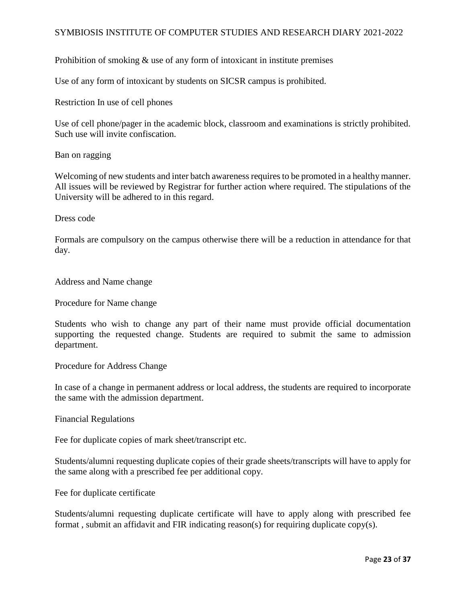Prohibition of smoking & use of any form of intoxicant in institute premises

Use of any form of intoxicant by students on SICSR campus is prohibited.

Restriction In use of cell phones

Use of cell phone/pager in the academic block, classroom and examinations is strictly prohibited. Such use will invite confiscation.

Ban on ragging

Welcoming of new students and inter batch awareness requires to be promoted in a healthy manner. All issues will be reviewed by Registrar for further action where required. The stipulations of the University will be adhered to in this regard.

Dress code

Formals are compulsory on the campus otherwise there will be a reduction in attendance for that day.

Address and Name change

Procedure for Name change

Students who wish to change any part of their name must provide official documentation supporting the requested change. Students are required to submit the same to admission department.

Procedure for Address Change

In case of a change in permanent address or local address, the students are required to incorporate the same with the admission department.

Financial Regulations

Fee for duplicate copies of mark sheet/transcript etc.

Students/alumni requesting duplicate copies of their grade sheets/transcripts will have to apply for the same along with a prescribed fee per additional copy.

Fee for duplicate certificate

Students/alumni requesting duplicate certificate will have to apply along with prescribed fee format , submit an affidavit and FIR indicating reason(s) for requiring duplicate copy(s).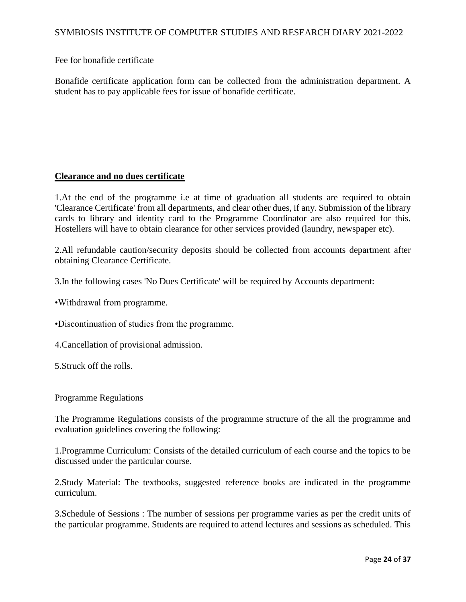Fee for bonafide certificate

Bonafide certificate application form can be collected from the administration department. A student has to pay applicable fees for issue of bonafide certificate.

#### **Clearance and no dues certificate**

1.At the end of the programme i.e at time of graduation all students are required to obtain 'Clearance Certificate' from all departments, and clear other dues, if any. Submission of the library cards to library and identity card to the Programme Coordinator are also required for this. Hostellers will have to obtain clearance for other services provided (laundry, newspaper etc).

2.All refundable caution/security deposits should be collected from accounts department after obtaining Clearance Certificate.

3.In the following cases 'No Dues Certificate' will be required by Accounts department:

•Withdrawal from programme.

•Discontinuation of studies from the programme.

4.Cancellation of provisional admission.

5.Struck off the rolls.

#### Programme Regulations

The Programme Regulations consists of the programme structure of the all the programme and evaluation guidelines covering the following:

1.Programme Curriculum: Consists of the detailed curriculum of each course and the topics to be discussed under the particular course.

2.Study Material: The textbooks, suggested reference books are indicated in the programme curriculum.

3.Schedule of Sessions : The number of sessions per programme varies as per the credit units of the particular programme. Students are required to attend lectures and sessions as scheduled. This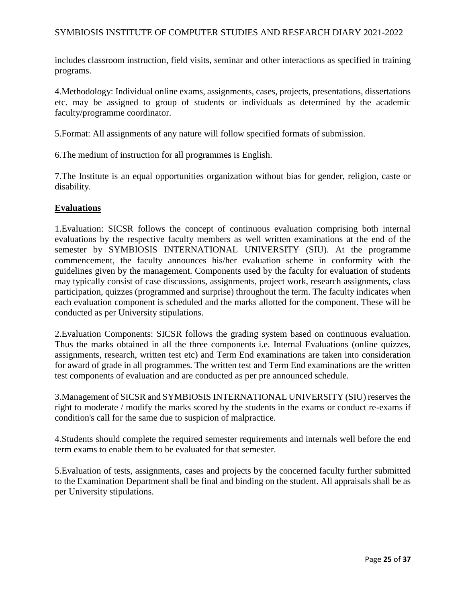includes classroom instruction, field visits, seminar and other interactions as specified in training programs.

4.Methodology: Individual online exams, assignments, cases, projects, presentations, dissertations etc. may be assigned to group of students or individuals as determined by the academic faculty/programme coordinator.

5.Format: All assignments of any nature will follow specified formats of submission.

6.The medium of instruction for all programmes is English.

7.The Institute is an equal opportunities organization without bias for gender, religion, caste or disability.

#### **Evaluations**

1.Evaluation: SICSR follows the concept of continuous evaluation comprising both internal evaluations by the respective faculty members as well written examinations at the end of the semester by SYMBIOSIS INTERNATIONAL UNIVERSITY (SIU). At the programme commencement, the faculty announces his/her evaluation scheme in conformity with the guidelines given by the management. Components used by the faculty for evaluation of students may typically consist of case discussions, assignments, project work, research assignments, class participation, quizzes (programmed and surprise) throughout the term. The faculty indicates when each evaluation component is scheduled and the marks allotted for the component. These will be conducted as per University stipulations.

2.Evaluation Components: SICSR follows the grading system based on continuous evaluation. Thus the marks obtained in all the three components i.e. Internal Evaluations (online quizzes, assignments, research, written test etc) and Term End examinations are taken into consideration for award of grade in all programmes. The written test and Term End examinations are the written test components of evaluation and are conducted as per pre announced schedule.

3.Management of SICSR and SYMBIOSIS INTERNATIONAL UNIVERSITY (SIU) reserves the right to moderate / modify the marks scored by the students in the exams or conduct re-exams if condition's call for the same due to suspicion of malpractice.

4.Students should complete the required semester requirements and internals well before the end term exams to enable them to be evaluated for that semester.

5.Evaluation of tests, assignments, cases and projects by the concerned faculty further submitted to the Examination Department shall be final and binding on the student. All appraisals shall be as per University stipulations.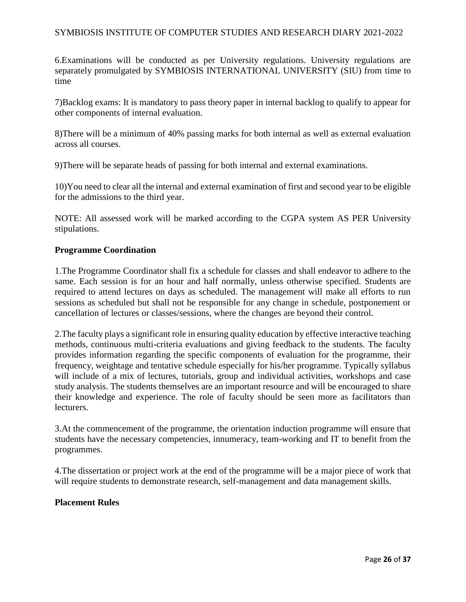6.Examinations will be conducted as per University regulations. University regulations are separately promulgated by SYMBIOSIS INTERNATIONAL UNIVERSITY (SIU) from time to time

7)Backlog exams: It is mandatory to pass theory paper in internal backlog to qualify to appear for other components of internal evaluation.

8)There will be a minimum of 40% passing marks for both internal as well as external evaluation across all courses.

9)There will be separate heads of passing for both internal and external examinations.

10)You need to clear all the internal and external examination of first and second year to be eligible for the admissions to the third year.

NOTE: All assessed work will be marked according to the CGPA system AS PER University stipulations.

#### **Programme Coordination**

1.The Programme Coordinator shall fix a schedule for classes and shall endeavor to adhere to the same. Each session is for an hour and half normally, unless otherwise specified. Students are required to attend lectures on days as scheduled. The management will make all efforts to run sessions as scheduled but shall not be responsible for any change in schedule, postponement or cancellation of lectures or classes/sessions, where the changes are beyond their control.

2.The faculty plays a significant role in ensuring quality education by effective interactive teaching methods, continuous multi-criteria evaluations and giving feedback to the students. The faculty provides information regarding the specific components of evaluation for the programme, their frequency, weightage and tentative schedule especially for his/her programme. Typically syllabus will include of a mix of lectures, tutorials, group and individual activities, workshops and case study analysis. The students themselves are an important resource and will be encouraged to share their knowledge and experience. The role of faculty should be seen more as facilitators than lecturers.

3.At the commencement of the programme, the orientation induction programme will ensure that students have the necessary competencies, innumeracy, team-working and IT to benefit from the programmes.

4.The dissertation or project work at the end of the programme will be a major piece of work that will require students to demonstrate research, self-management and data management skills.

#### **Placement Rules**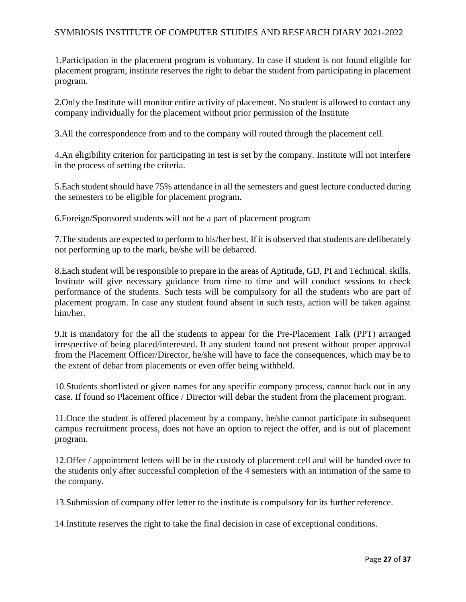1.Participation in the placement program is voluntary. In case if student is not found eligible for placement program, institute reserves the right to debar the student from participating in placement program.

2.Only the Institute will monitor entire activity of placement. No student is allowed to contact any company individually for the placement without prior permission of the Institute

3.All the correspondence from and to the company will routed through the placement cell.

4.An eligibility criterion for participating in test is set by the company. Institute will not interfere in the process of setting the criteria.

5.Each student should have 75% attendance in all the semesters and guest lecture conducted during the semesters to be eligible for placement program.

6.Foreign/Sponsored students will not be a part of placement program

7.The students are expected to perform to his/her best. If it is observed that students are deliberately not performing up to the mark, he/she will be debarred.

8.Each student will be responsible to prepare in the areas of Aptitude, GD, PI and Technical. skills. Institute will give necessary guidance from time to time and will conduct sessions to check performance of the students. Such tests will be compulsory for all the students who are part of placement program. In case any student found absent in such tests, action will be taken against him/her.

9.It is mandatory for the all the students to appear for the Pre-Placement Talk (PPT) arranged irrespective of being placed/interested. If any student found not present without proper approval from the Placement Officer/Director, he/she will have to face the consequences, which may be to the extent of debar from placements or even offer being withheld.

10.Students shortlisted or given names for any specific company process, cannot back out in any case. If found so Placement office / Director will debar the student from the placement program.

11.Once the student is offered placement by a company, he/she cannot participate in subsequent campus recruitment process, does not have an option to reject the offer, and is out of placement program.

12.Offer / appointment letters will be in the custody of placement cell and will be handed over to the students only after successful completion of the 4 semesters with an intimation of the same to the company.

13.Submission of company offer letter to the institute is compulsory for its further reference.

14.Institute reserves the right to take the final decision in case of exceptional conditions.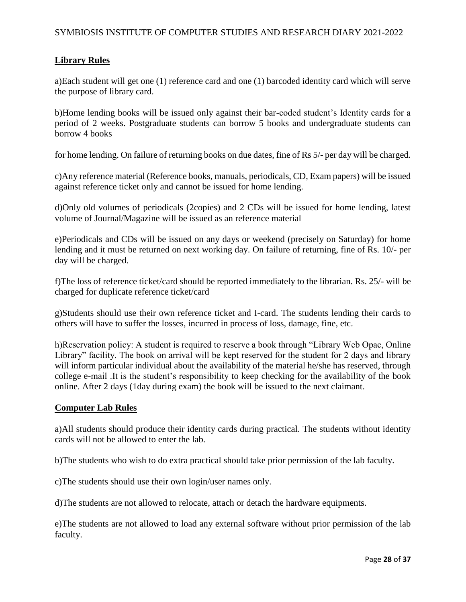## **Library Rules**

a)Each student will get one (1) reference card and one (1) barcoded identity card which will serve the purpose of library card.

b)Home lending books will be issued only against their bar-coded student's Identity cards for a period of 2 weeks. Postgraduate students can borrow 5 books and undergraduate students can borrow 4 books

for home lending. On failure of returning books on due dates, fine of Rs 5/- per day will be charged.

c)Any reference material (Reference books, manuals, periodicals, CD, Exam papers) will be issued against reference ticket only and cannot be issued for home lending.

d)Only old volumes of periodicals (2copies) and 2 CDs will be issued for home lending, latest volume of Journal/Magazine will be issued as an reference material

e)Periodicals and CDs will be issued on any days or weekend (precisely on Saturday) for home lending and it must be returned on next working day. On failure of returning, fine of Rs. 10/- per day will be charged.

f)The loss of reference ticket/card should be reported immediately to the librarian. Rs. 25/- will be charged for duplicate reference ticket/card

g)Students should use their own reference ticket and I-card. The students lending their cards to others will have to suffer the losses, incurred in process of loss, damage, fine, etc.

h)Reservation policy: A student is required to reserve a book through "Library Web Opac, Online Library" facility. The book on arrival will be kept reserved for the student for 2 days and library will inform particular individual about the availability of the material he/she has reserved, through college e-mail .It is the student's responsibility to keep checking for the availability of the book online. After 2 days (1day during exam) the book will be issued to the next claimant.

#### **Computer Lab Rules**

a)All students should produce their identity cards during practical. The students without identity cards will not be allowed to enter the lab.

b)The students who wish to do extra practical should take prior permission of the lab faculty.

c)The students should use their own login/user names only.

d)The students are not allowed to relocate, attach or detach the hardware equipments.

e)The students are not allowed to load any external software without prior permission of the lab faculty.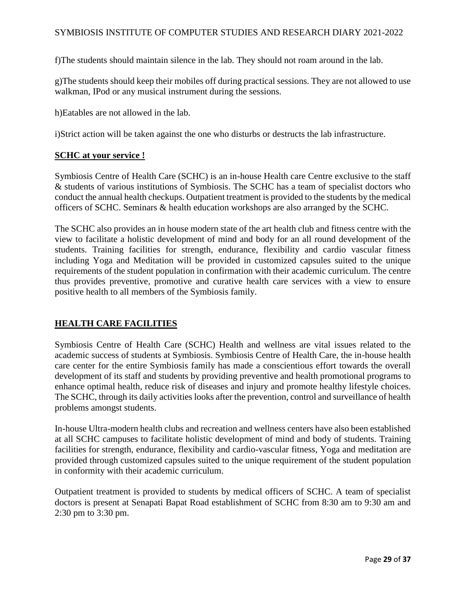f)The students should maintain silence in the lab. They should not roam around in the lab.

g)The students should keep their mobiles off during practical sessions. They are not allowed to use walkman, IPod or any musical instrument during the sessions.

h)Eatables are not allowed in the lab.

i)Strict action will be taken against the one who disturbs or destructs the lab infrastructure.

#### **SCHC at your service !**

Symbiosis Centre of Health Care (SCHC) is an in-house Health care Centre exclusive to the staff & students of various institutions of Symbiosis. The SCHC has a team of specialist doctors who conduct the annual health checkups. Outpatient treatment is provided to the students by the medical officers of SCHC. Seminars & health education workshops are also arranged by the SCHC.

The SCHC also provides an in house modern state of the art health club and fitness centre with the view to facilitate a holistic development of mind and body for an all round development of the students. Training facilities for strength, endurance, flexibility and cardio vascular fitness including Yoga and Meditation will be provided in customized capsules suited to the unique requirements of the student population in confirmation with their academic curriculum. The centre thus provides preventive, promotive and curative health care services with a view to ensure positive health to all members of the Symbiosis family.

#### **HEALTH CARE FACILITIES**

Symbiosis Centre of Health Care (SCHC) Health and wellness are vital issues related to the academic success of students at Symbiosis. Symbiosis Centre of Health Care, the in-house health care center for the entire Symbiosis family has made a conscientious effort towards the overall development of its staff and students by providing preventive and health promotional programs to enhance optimal health, reduce risk of diseases and injury and promote healthy lifestyle choices. The SCHC, through its daily activities looks after the prevention, control and surveillance of health problems amongst students.

In-house Ultra-modern health clubs and recreation and wellness centers have also been established at all SCHC campuses to facilitate holistic development of mind and body of students. Training facilities for strength, endurance, flexibility and cardio-vascular fitness, Yoga and meditation are provided through customized capsules suited to the unique requirement of the student population in conformity with their academic curriculum.

Outpatient treatment is provided to students by medical officers of SCHC. A team of specialist doctors is present at Senapati Bapat Road establishment of SCHC from 8:30 am to 9:30 am and 2:30 pm to 3:30 pm.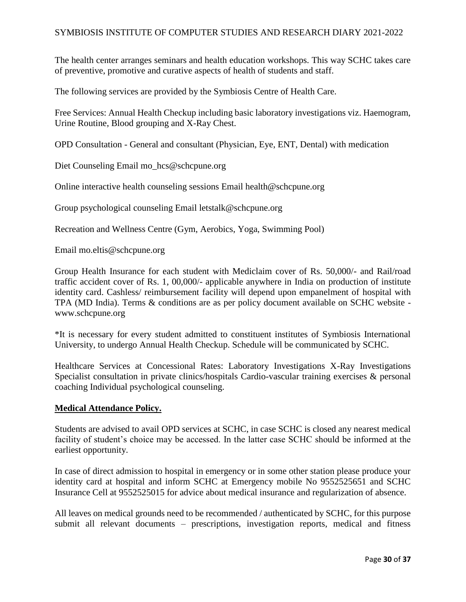The health center arranges seminars and health education workshops. This way SCHC takes care of preventive, promotive and curative aspects of health of students and staff.

The following services are provided by the Symbiosis Centre of Health Care.

Free Services: Annual Health Checkup including basic laboratory investigations viz. Haemogram, Urine Routine, Blood grouping and X-Ray Chest.

OPD Consultation - General and consultant (Physician, Eye, ENT, Dental) with medication

Diet Counseling Email mo\_hcs@schcpune.org

Online interactive health counseling sessions Email health@schcpune.org

Group psychological counseling Email letstalk@schcpune.org

Recreation and Wellness Centre (Gym, Aerobics, Yoga, Swimming Pool)

Email mo.eltis@schcpune.org

Group Health Insurance for each student with Mediclaim cover of Rs. 50,000/- and Rail/road traffic accident cover of Rs. 1, 00,000/- applicable anywhere in India on production of institute identity card. Cashless/ reimbursement facility will depend upon empanelment of hospital with TPA (MD India). Terms & conditions are as per policy document available on SCHC website www.schcpune.org

\*It is necessary for every student admitted to constituent institutes of Symbiosis International University, to undergo Annual Health Checkup. Schedule will be communicated by SCHC.

Healthcare Services at Concessional Rates: Laboratory Investigations X-Ray Investigations Specialist consultation in private clinics/hospitals Cardio-vascular training exercises & personal coaching Individual psychological counseling.

#### **Medical Attendance Policy.**

Students are advised to avail OPD services at SCHC, in case SCHC is closed any nearest medical facility of student's choice may be accessed. In the latter case SCHC should be informed at the earliest opportunity.

In case of direct admission to hospital in emergency or in some other station please produce your identity card at hospital and inform SCHC at Emergency mobile No 9552525651 and SCHC Insurance Cell at 9552525015 for advice about medical insurance and regularization of absence.

All leaves on medical grounds need to be recommended / authenticated by SCHC, for this purpose submit all relevant documents – prescriptions, investigation reports, medical and fitness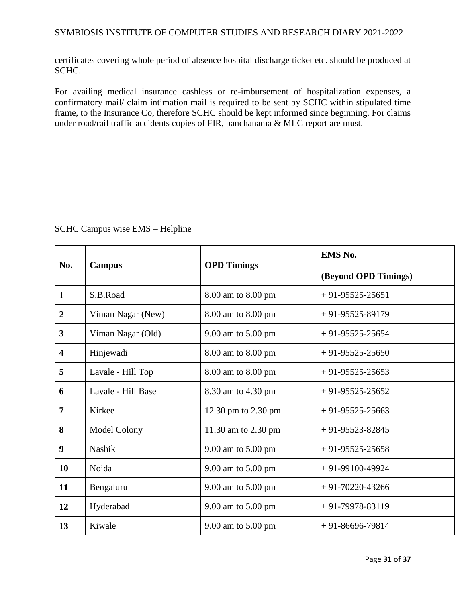certificates covering whole period of absence hospital discharge ticket etc. should be produced at SCHC.

For availing medical insurance cashless or re-imbursement of hospitalization expenses, a confirmatory mail/ claim intimation mail is required to be sent by SCHC within stipulated time frame, to the Insurance Co, therefore SCHC should be kept informed since beginning. For claims under road/rail traffic accidents copies of FIR, panchanama & MLC report are must.

| SCHC Campus wise EMS - Helpline |  |  |
|---------------------------------|--|--|
|---------------------------------|--|--|

|                         | <b>Campus</b>      |                     | EMS No.              |
|-------------------------|--------------------|---------------------|----------------------|
| No.                     |                    | <b>OPD Timings</b>  | (Beyond OPD Timings) |
| $\mathbf{1}$            | S.B.Road           | 8.00 am to 8.00 pm  | $+91-95525-25651$    |
| $\overline{2}$          | Viman Nagar (New)  | 8.00 am to 8.00 pm  | $+91-95525-89179$    |
| 3                       | Viman Nagar (Old)  | 9.00 am to 5.00 pm  | $+91-95525-25654$    |
| $\overline{\mathbf{4}}$ | Hinjewadi          | 8.00 am to 8.00 pm  | $+91-95525-25650$    |
| 5                       | Lavale - Hill Top  | 8.00 am to 8.00 pm  | $+91-95525-25653$    |
| 6                       | Lavale - Hill Base | 8.30 am to 4.30 pm  | $+91-95525-25652$    |
| 7                       | Kirkee             | 12.30 pm to 2.30 pm | $+91-95525-25663$    |
| 8                       | Model Colony       | 11.30 am to 2.30 pm | $+91-95523-82845$    |
| 9                       | Nashik             | 9.00 am to 5.00 pm  | $+91-95525-25658$    |
| 10                      | Noida              | 9.00 am to 5.00 pm  | $+91-99100-49924$    |
| 11                      | Bengaluru          | 9.00 am to 5.00 pm  | $+91-70220-43266$    |
| 12                      | Hyderabad          | 9.00 am to 5.00 pm  | $+91-79978-83119$    |
| 13                      | Kiwale             | 9.00 am to 5.00 pm  | $+91-86696-79814$    |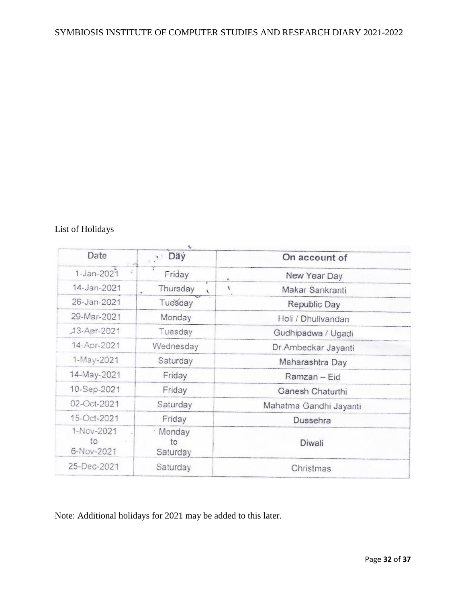# List of Holidays

| Date                           | Day                        | On account of             |
|--------------------------------|----------------------------|---------------------------|
| $1 - Jan - 2021$               | Friday                     | New Year Day<br>ë         |
| 14-Jan-2021                    | Thursday<br>$\lambda$      | V<br>Makar Sankranti<br>× |
| 26-Jan-2021                    | Tuesday                    | Republic Day              |
| 29-Mar-2021                    | Monday                     | Holi / Dhulivandan        |
| 13-Apr-2021                    | Tuesday                    | Gudhipadwa / Ugadi        |
| 14-Apr-2021                    | Wednesday                  | Dr.Ambedkar Jayanti       |
| 1-May-2021                     | Saturday                   | Maharashtra Day           |
| 14-May-2021                    | Friday                     | Ramzan - Eid              |
| 10-Sep-2021                    | Friday                     | Ganesh Chaturthi          |
| 02-Oct-2021                    | Saturday                   | Mahatma Gandhi Jayanti    |
| 15-Oct-2021                    | Friday                     | Dussehra                  |
| 1-Nov-2021<br>to<br>6-Nov-2021 | · Monday<br>to<br>Saturday | Diwali                    |
| 25-Dec-2021                    | Saturday                   | Christmas                 |
|                                |                            |                           |

Note: Additional holidays for 2021 may be added to this later.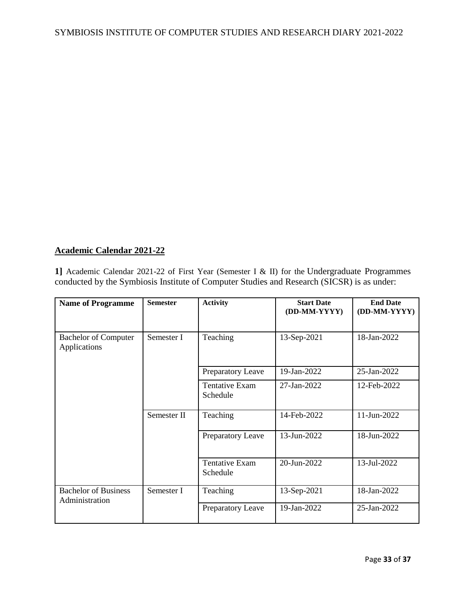## **Academic Calendar 2021-22**

**1]** Academic Calendar 2021-22 of First Year (Semester I & II) for the Undergraduate Programmes conducted by the Symbiosis Institute of Computer Studies and Research (SICSR) is as under:

| <b>Name of Programme</b>                      | <b>Semester</b> | <b>Activity</b>                   | <b>Start Date</b><br>(DD-MM-YYYY) | <b>End Date</b><br>(DD-MM-YYYY) |
|-----------------------------------------------|-----------------|-----------------------------------|-----------------------------------|---------------------------------|
| <b>Bachelor of Computer</b><br>Applications   | Semester I      | Teaching                          | 13-Sep-2021                       | 18-Jan-2022                     |
|                                               |                 | Preparatory Leave                 | 19-Jan-2022                       | 25-Jan-2022                     |
|                                               |                 | <b>Tentative Exam</b><br>Schedule | 27-Jan-2022                       | 12-Feb-2022                     |
|                                               | Semester II     | Teaching                          | 14-Feb-2022                       | 11-Jun-2022                     |
|                                               |                 | Preparatory Leave                 | 13-Jun-2022                       | 18-Jun-2022                     |
|                                               |                 | <b>Tentative Exam</b><br>Schedule | 20-Jun-2022                       | 13-Jul-2022                     |
| <b>Bachelor of Business</b><br>Administration | Semester I      | Teaching                          | 13-Sep-2021                       | 18-Jan-2022                     |
|                                               |                 | Preparatory Leave                 | 19-Jan-2022                       | 25-Jan-2022                     |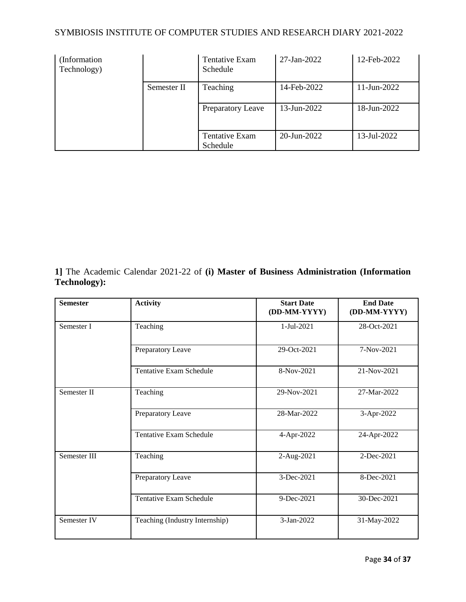| (Information)<br>Technology) |             | <b>Tentative Exam</b><br>Schedule | 27-Jan-2022 | 12-Feb-2022    |
|------------------------------|-------------|-----------------------------------|-------------|----------------|
|                              | Semester II | Teaching                          | 14-Feb-2022 | $11$ -Jun-2022 |
|                              |             | <b>Preparatory Leave</b>          | 13-Jun-2022 | 18-Jun-2022    |
|                              |             | <b>Tentative Exam</b><br>Schedule | 20-Jun-2022 | 13-Jul-2022    |

**1]** The Academic Calendar 2021-22 of **(i) Master of Business Administration (Information Technology):**

| <b>Semester</b> | <b>Activity</b>                | <b>Start Date</b><br>(DD-MM-YYYY) | <b>End Date</b><br>(DD-MM-YYYY) |
|-----------------|--------------------------------|-----------------------------------|---------------------------------|
| Semester I      | Teaching                       | 1-Jul-2021                        | 28-Oct-2021                     |
|                 | Preparatory Leave              | 29-Oct-2021                       | 7-Nov-2021                      |
|                 | <b>Tentative Exam Schedule</b> | 8-Nov-2021                        | 21-Nov-2021                     |
| Semester II     | Teaching                       | 29-Nov-2021                       | 27-Mar-2022                     |
|                 | Preparatory Leave              | 28-Mar-2022                       | 3-Apr-2022                      |
|                 | <b>Tentative Exam Schedule</b> | 4-Apr-2022                        | 24-Apr-2022                     |
| Semester III    | Teaching                       | 2-Aug-2021                        | 2-Dec-2021                      |
|                 | Preparatory Leave              | 3-Dec-2021                        | 8-Dec-2021                      |
|                 | <b>Tentative Exam Schedule</b> | 9-Dec-2021                        | 30-Dec-2021                     |
| Semester IV     | Teaching (Industry Internship) | 3-Jan-2022                        | 31-May-2022                     |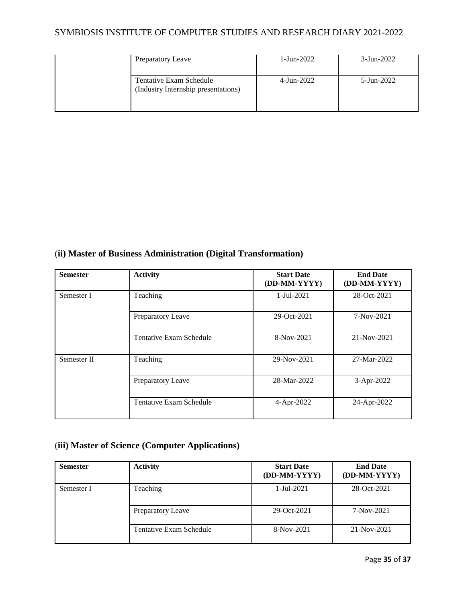| Preparatory Leave                                              | 1-Jun-2022       | $3$ -Jun-2022 |
|----------------------------------------------------------------|------------------|---------------|
| Tentative Exam Schedule<br>(Industry Internship presentations) | $4 - Jun - 2022$ | 5-Jun-2022    |

# (**ii) Master of Business Administration (Digital Transformation)**

| <b>Semester</b> | <b>Activity</b>                | <b>Start Date</b><br>(DD-MM-YYYY) | <b>End Date</b><br>(DD-MM-YYYY) |
|-----------------|--------------------------------|-----------------------------------|---------------------------------|
| Semester I      | Teaching                       | 1-Jul-2021                        | 28-Oct-2021                     |
|                 | Preparatory Leave              | 29-Oct-2021                       | 7-Nov-2021                      |
|                 | Tentative Exam Schedule        | 8-Nov-2021                        | 21-Nov-2021                     |
| Semester II     | Teaching                       | 29-Nov-2021                       | 27-Mar-2022                     |
|                 | Preparatory Leave              | 28-Mar-2022                       | 3-Apr-2022                      |
|                 | <b>Tentative Exam Schedule</b> | 4-Apr-2022                        | 24-Apr-2022                     |

# (**iii) Master of Science (Computer Applications)**

| <b>Semester</b> | <b>Activity</b>          | <b>Start Date</b><br>(DD-MM-YYYY) | <b>End Date</b><br>(DD-MM-YYYY) |
|-----------------|--------------------------|-----------------------------------|---------------------------------|
| Semester I      | Teaching                 | $1-Jul-2021$                      | 28-Oct-2021                     |
|                 | <b>Preparatory Leave</b> | $29-Oct-2021$                     | $7-Nov-2021$                    |
|                 | Tentative Exam Schedule  | 8-Nov-2021                        | $21-Nov-2021$                   |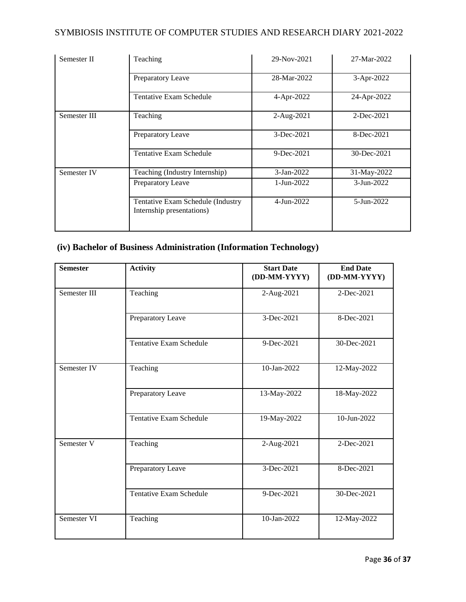| Semester II  | Teaching                                                       | 29-Nov-2021      | 27-Mar-2022      |
|--------------|----------------------------------------------------------------|------------------|------------------|
|              | <b>Preparatory Leave</b>                                       | 28-Mar-2022      | 3-Apr-2022       |
|              | Tentative Exam Schedule                                        | 4-Apr-2022       | 24-Apr-2022      |
| Semester III | Teaching                                                       | 2-Aug-2021       | 2-Dec-2021       |
|              | Preparatory Leave                                              | $3-Dec-2021$     | 8-Dec-2021       |
|              | Tentative Exam Schedule                                        | $9-Dec-2021$     | 30-Dec-2021      |
| Semester IV  | Teaching (Industry Internship)                                 | $3 - Jan - 2022$ | 31-May-2022      |
|              | Preparatory Leave                                              | 1-Jun-2022       | $3 - Jun - 2022$ |
|              | Tentative Exam Schedule (Industry<br>Internship presentations) | $4 - Jun - 2022$ | 5-Jun-2022       |

# **(iv) Bachelor of Business Administration (Information Technology)**

| <b>Semester</b> | <b>Activity</b>                | <b>Start Date</b><br>(DD-MM-YYYY) | <b>End Date</b><br>(DD-MM-YYYY) |
|-----------------|--------------------------------|-----------------------------------|---------------------------------|
| Semester III    | Teaching                       | 2-Aug-2021                        | 2-Dec-2021                      |
|                 | Preparatory Leave              | 3-Dec-2021                        | 8-Dec-2021                      |
|                 | <b>Tentative Exam Schedule</b> | 9-Dec-2021                        | 30-Dec-2021                     |
| Semester IV     | Teaching                       | 10-Jan-2022                       | 12-May-2022                     |
|                 | Preparatory Leave              | 13-May-2022                       | 18-May-2022                     |
|                 | <b>Tentative Exam Schedule</b> | 19-May-2022                       | 10-Jun-2022                     |
| Semester V      | Teaching                       | 2-Aug-2021                        | 2-Dec-2021                      |
|                 | Preparatory Leave              | 3-Dec-2021                        | 8-Dec-2021                      |
|                 | <b>Tentative Exam Schedule</b> | 9-Dec-2021                        | 30-Dec-2021                     |
| Semester VI     | Teaching                       | 10-Jan-2022                       | 12-May-2022                     |